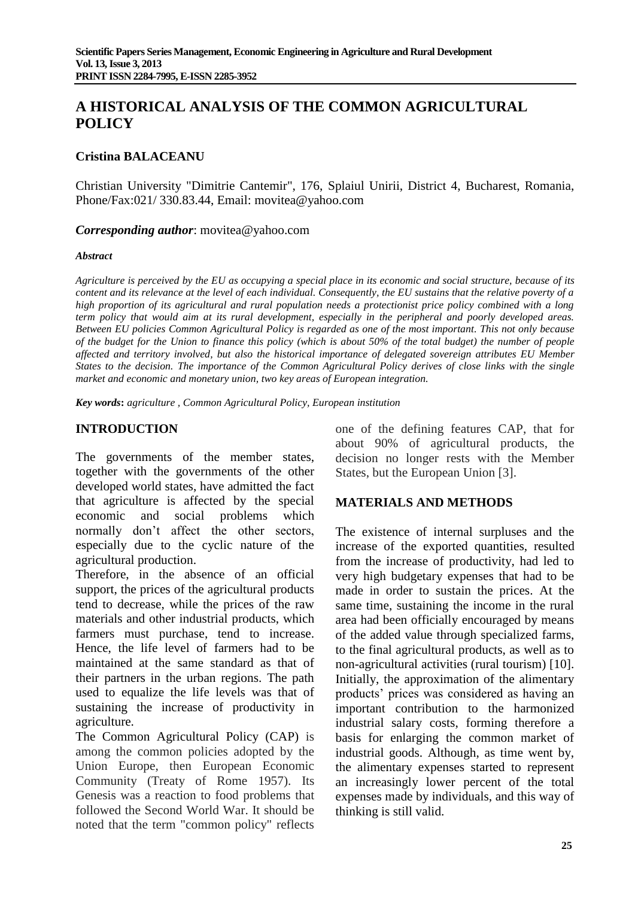# **A HISTORICAL ANALYSIS OF THE COMMON AGRICULTURAL POLICY**

#### **Cristina BALACEANU**

Christian University "Dimitrie Cantemir", 176, Splaiul Unirii, District 4, Bucharest, Romania, Phone/Fax:021/ 330.83.44, Email: movitea@yahoo.com

*Corresponding author*: movitea@yahoo.com

#### *Abstract*

*Agriculture is perceived by the EU as occupying a special place in its economic and social structure, because of its content and its relevance at the level of each individual. Consequently, the EU sustains that the relative poverty of a high proportion of its agricultural and rural population needs a protectionist price policy combined with a long term policy that would aim at its rural development, especially in the peripheral and poorly developed areas. Between EU policies Common Agricultural Policy is regarded as one of the most important. This not only because of the budget for the Union to finance this policy (which is about 50% of the total budget) the number of people affected and territory involved, but also the historical importance of delegated sovereign attributes EU Member States to the decision. The importance of the Common Agricultural Policy derives of close links with the single market and economic and monetary union, two key areas of European integration.*

*Key words***:** *agriculture , Common Agricultural Policy, European institution*

### **INTRODUCTION**

The governments of the member states, together with the governments of the other developed world states, have admitted the fact that agriculture is affected by the special economic and social problems which normally don't affect the other sectors, especially due to the cyclic nature of the agricultural production.

Therefore, in the absence of an official support, the prices of the agricultural products tend to decrease, while the prices of the raw materials and other industrial products, which farmers must purchase, tend to increase. Hence, the life level of farmers had to be maintained at the same standard as that of their partners in the urban regions. The path used to equalize the life levels was that of sustaining the increase of productivity in agriculture.

The Common Agricultural Policy (CAP) is among the common policies adopted by the Union Europe, then European Economic Community (Treaty of Rome 1957). Its Genesis was a reaction to food problems that followed the Second World War. It should be noted that the term "common policy" reflects

one of the defining features CAP, that for about 90% of agricultural products, the decision no longer rests with the Member States, but the European Union [3].

#### **MATERIALS AND METHODS**

The existence of internal surpluses and the increase of the exported quantities, resulted from the increase of productivity, had led to very high budgetary expenses that had to be made in order to sustain the prices. At the same time, sustaining the income in the rural area had been officially encouraged by means of the added value through specialized farms, to the final agricultural products, as well as to non-agricultural activities (rural tourism) [10]. Initially, the approximation of the alimentary products' prices was considered as having an important contribution to the harmonized industrial salary costs, forming therefore a basis for enlarging the common market of industrial goods. Although, as time went by, the alimentary expenses started to represent an increasingly lower percent of the total expenses made by individuals, and this way of thinking is still valid.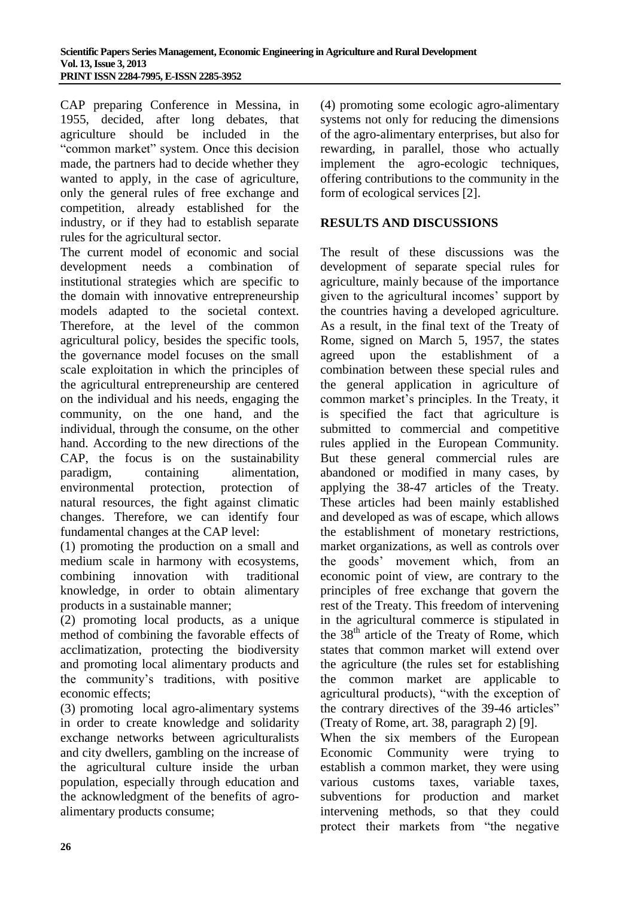CAP preparing Conference in Messina, in 1955, decided, after long debates, that agriculture should be included in the "common market" system. Once this decision made, the partners had to decide whether they wanted to apply, in the case of agriculture, only the general rules of free exchange and competition, already established for the industry, or if they had to establish separate rules for the agricultural sector.

The current model of economic and social development needs a combination of institutional strategies which are specific to the domain with innovative entrepreneurship models adapted to the societal context. Therefore, at the level of the common agricultural policy, besides the specific tools, the governance model focuses on the small scale exploitation in which the principles of the agricultural entrepreneurship are centered on the individual and his needs, engaging the community, on the one hand, and the individual, through the consume, on the other hand. According to the new directions of the CAP, the focus is on the sustainability paradigm, containing alimentation, environmental protection, protection of natural resources, the fight against climatic changes. Therefore, we can identify four fundamental changes at the CAP level:

(1) promoting the production on a small and medium scale in harmony with ecosystems, combining innovation with traditional knowledge, in order to obtain alimentary products in a sustainable manner;

(2) promoting local products, as a unique method of combining the favorable effects of acclimatization, protecting the biodiversity and promoting local alimentary products and the community's traditions, with positive economic effects;

(3) promoting local agro-alimentary systems in order to create knowledge and solidarity exchange networks between agriculturalists and city dwellers, gambling on the increase of the agricultural culture inside the urban population, especially through education and the acknowledgment of the benefits of agroalimentary products consume;

(4) promoting some ecologic agro-alimentary systems not only for reducing the dimensions of the agro-alimentary enterprises, but also for rewarding, in parallel, those who actually implement the agro-ecologic techniques, offering contributions to the community in the form of ecological services [2].

## **RESULTS AND DISCUSSIONS**

The result of these discussions was the development of separate special rules for agriculture, mainly because of the importance given to the agricultural incomes' support by the countries having a developed agriculture. As a result, in the final text of the Treaty of Rome, signed on March 5, 1957, the states agreed upon the establishment of a combination between these special rules and the general application in agriculture of common market's principles. In the Treaty, it is specified the fact that agriculture is submitted to commercial and competitive rules applied in the European Community. But these general commercial rules are abandoned or modified in many cases, by applying the 38-47 articles of the Treaty. These articles had been mainly established and developed as was of escape, which allows the establishment of monetary restrictions, market organizations, as well as controls over the goods' movement which, from an economic point of view, are contrary to the principles of free exchange that govern the rest of the Treaty. This freedom of intervening in the agricultural commerce is stipulated in the 38<sup>th</sup> article of the Treaty of Rome, which states that common market will extend over the agriculture (the rules set for establishing the common market are applicable to agricultural products), "with the exception of the contrary directives of the 39-46 articles" (Treaty of Rome, art. 38, paragraph 2) [9].

When the six members of the European Economic Community were trying to establish a common market, they were using various customs taxes, variable taxes, subventions for production and market intervening methods, so that they could protect their markets from "the negative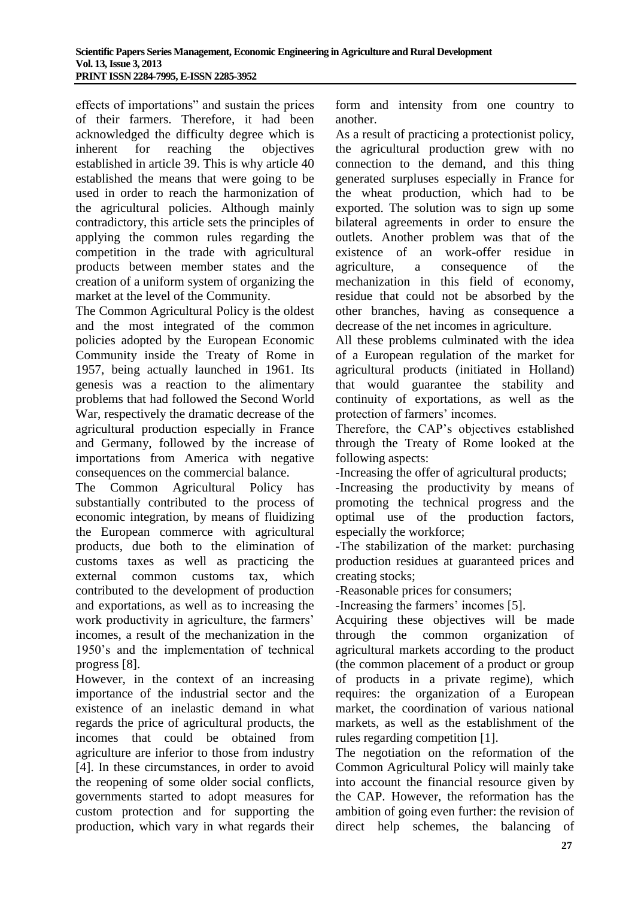effects of importations" and sustain the prices of their farmers. Therefore, it had been acknowledged the difficulty degree which is inherent for reaching the objectives established in article 39. This is why article 40 established the means that were going to be used in order to reach the harmonization of the agricultural policies. Although mainly contradictory, this article sets the principles of applying the common rules regarding the competition in the trade with agricultural products between member states and the creation of a uniform system of organizing the market at the level of the Community.

The Common Agricultural Policy is the oldest and the most integrated of the common policies adopted by the European Economic Community inside the Treaty of Rome in 1957, being actually launched in 1961. Its genesis was a reaction to the alimentary problems that had followed the Second World War, respectively the dramatic decrease of the agricultural production especially in France and Germany, followed by the increase of importations from America with negative consequences on the commercial balance.

The Common Agricultural Policy has substantially contributed to the process of economic integration, by means of fluidizing the European commerce with agricultural products, due both to the elimination of customs taxes as well as practicing the external common customs tax, which contributed to the development of production and exportations, as well as to increasing the work productivity in agriculture, the farmers' incomes, a result of the mechanization in the 1950's and the implementation of technical progress [8].

However, in the context of an increasing importance of the industrial sector and the existence of an inelastic demand in what regards the price of agricultural products, the incomes that could be obtained from agriculture are inferior to those from industry [4]. In these circumstances, in order to avoid the reopening of some older social conflicts, governments started to adopt measures for custom protection and for supporting the production, which vary in what regards their

form and intensity from one country to another.

As a result of practicing a protectionist policy, the agricultural production grew with no connection to the demand, and this thing generated surpluses especially in France for the wheat production, which had to be exported. The solution was to sign up some bilateral agreements in order to ensure the outlets. Another problem was that of the existence of an work-offer residue in agriculture, a consequence of the mechanization in this field of economy, residue that could not be absorbed by the other branches, having as consequence a decrease of the net incomes in agriculture.

All these problems culminated with the idea of a European regulation of the market for agricultural products (initiated in Holland) that would guarantee the stability and continuity of exportations, as well as the protection of farmers' incomes.

Therefore, the CAP's objectives established through the Treaty of Rome looked at the following aspects:

-Increasing the offer of agricultural products;

-Increasing the productivity by means of promoting the technical progress and the optimal use of the production factors, especially the workforce;

-The stabilization of the market: purchasing production residues at guaranteed prices and creating stocks;

-Reasonable prices for consumers;

-Increasing the farmers' incomes [5].

Acquiring these objectives will be made through the common organization of agricultural markets according to the product (the common placement of a product or group of products in a private regime), which requires: the organization of a European market, the coordination of various national markets, as well as the establishment of the rules regarding competition [1].

The negotiation on the reformation of the Common Agricultural Policy will mainly take into account the financial resource given by the CAP. However, the reformation has the ambition of going even further: the revision of direct help schemes, the balancing of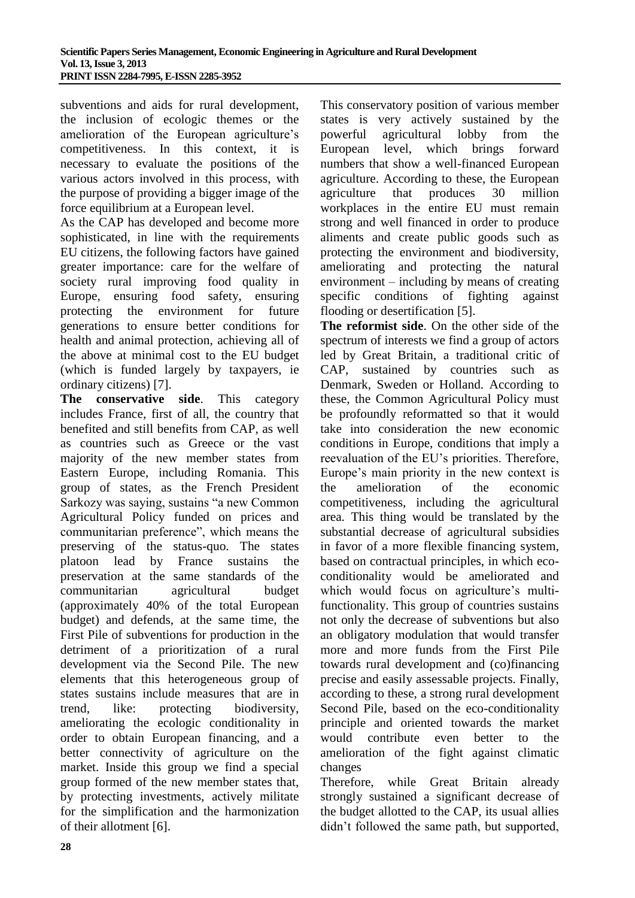subventions and aids for rural development, the inclusion of ecologic themes or the amelioration of the European agriculture's competitiveness. In this context, it is necessary to evaluate the positions of the various actors involved in this process, with the purpose of providing a bigger image of the force equilibrium at a European level.

As the CAP has developed and become more sophisticated, in line with the requirements EU citizens, the following factors have gained greater importance: care for the welfare of society rural improving food quality in Europe, ensuring food safety, ensuring protecting the environment for future generations to ensure better conditions for health and animal protection, achieving all of the above at minimal cost to the EU budget (which is funded largely by taxpayers, ie ordinary citizens) [7].

**The conservative side**. This category includes France, first of all, the country that benefited and still benefits from CAP, as well as countries such as Greece or the vast majority of the new member states from Eastern Europe, including Romania. This group of states, as the French President Sarkozy was saying, sustains "a new Common Agricultural Policy funded on prices and communitarian preference", which means the preserving of the status-quo. The states platoon lead by France sustains the preservation at the same standards of the communitarian agricultural budget (approximately 40% of the total European budget) and defends, at the same time, the First Pile of subventions for production in the detriment of a prioritization of a rural development via the Second Pile. The new elements that this heterogeneous group of states sustains include measures that are in trend, like: protecting biodiversity, ameliorating the ecologic conditionality in order to obtain European financing, and a better connectivity of agriculture on the market. Inside this group we find a special group formed of the new member states that, by protecting investments, actively militate for the simplification and the harmonization of their allotment [6].

This conservatory position of various member states is very actively sustained by the powerful agricultural lobby from the European level, which brings forward numbers that show a well-financed European agriculture. According to these, the European agriculture that produces 30 million workplaces in the entire EU must remain strong and well financed in order to produce aliments and create public goods such as protecting the environment and biodiversity, ameliorating and protecting the natural environment – including by means of creating specific conditions of fighting against flooding or desertification [5].

**The reformist side**. On the other side of the spectrum of interests we find a group of actors led by Great Britain, a traditional critic of CAP, sustained by countries such as Denmark, Sweden or Holland. According to these, the Common Agricultural Policy must be profoundly reformatted so that it would take into consideration the new economic conditions in Europe, conditions that imply a reevaluation of the EU's priorities. Therefore, Europe's main priority in the new context is the amelioration of the economic competitiveness, including the agricultural area. This thing would be translated by the substantial decrease of agricultural subsidies in favor of a more flexible financing system, based on contractual principles, in which ecoconditionality would be ameliorated and which would focus on agriculture's multifunctionality. This group of countries sustains not only the decrease of subventions but also an obligatory modulation that would transfer more and more funds from the First Pile towards rural development and (co)financing precise and easily assessable projects. Finally, according to these, a strong rural development Second Pile, based on the eco-conditionality principle and oriented towards the market would contribute even better to the amelioration of the fight against climatic changes

Therefore, while Great Britain already strongly sustained a significant decrease of the budget allotted to the CAP, its usual allies didn't followed the same path, but supported,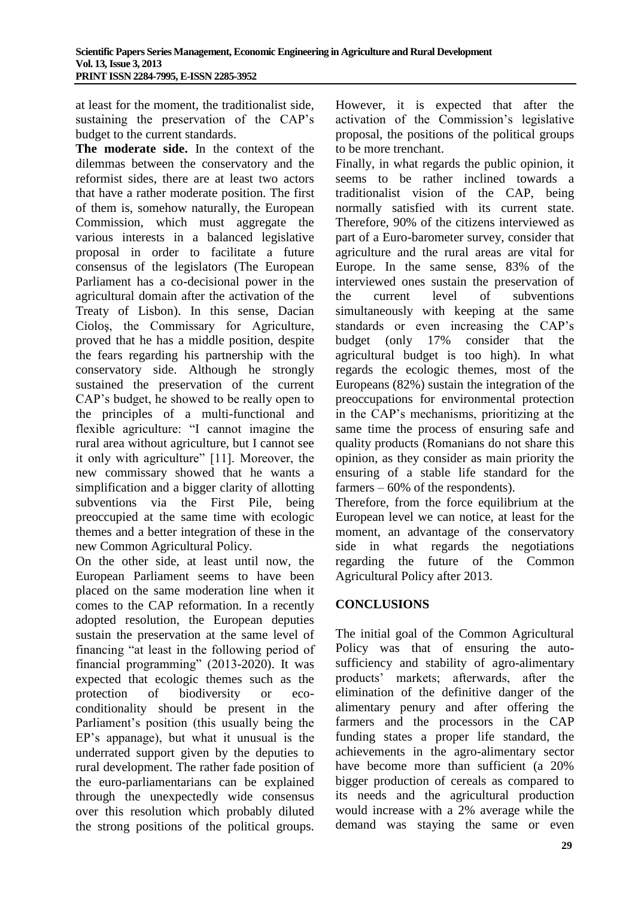at least for the moment, the traditionalist side, sustaining the preservation of the CAP's budget to the current standards.

**The moderate side.** In the context of the dilemmas between the conservatory and the reformist sides, there are at least two actors that have a rather moderate position. The first of them is, somehow naturally, the European Commission, which must aggregate the various interests in a balanced legislative proposal in order to facilitate a future consensus of the legislators (The European Parliament has a co-decisional power in the agricultural domain after the activation of the Treaty of Lisbon). In this sense, Dacian Cioloş, the Commissary for Agriculture, proved that he has a middle position, despite the fears regarding his partnership with the conservatory side. Although he strongly sustained the preservation of the current CAP's budget, he showed to be really open to the principles of a multi-functional and flexible agriculture: "I cannot imagine the rural area without agriculture, but I cannot see it only with agriculture" [11]. Moreover, the new commissary showed that he wants a simplification and a bigger clarity of allotting subventions via the First Pile, being preoccupied at the same time with ecologic themes and a better integration of these in the new Common Agricultural Policy.

On the other side, at least until now, the European Parliament seems to have been placed on the same moderation line when it comes to the CAP reformation. In a recently adopted resolution, the European deputies sustain the preservation at the same level of financing "at least in the following period of financial programming" (2013-2020). It was expected that ecologic themes such as the protection of biodiversity or ecoconditionality should be present in the Parliament's position (this usually being the EP's appanage), but what it unusual is the underrated support given by the deputies to rural development. The rather fade position of the euro-parliamentarians can be explained through the unexpectedly wide consensus over this resolution which probably diluted the strong positions of the political groups.

However, it is expected that after the activation of the Commission's legislative proposal, the positions of the political groups to be more trenchant.

Finally, in what regards the public opinion, it seems to be rather inclined towards a traditionalist vision of the CAP, being normally satisfied with its current state. Therefore, 90% of the citizens interviewed as part of a Euro-barometer survey, consider that agriculture and the rural areas are vital for Europe. In the same sense, 83% of the interviewed ones sustain the preservation of the current level of subventions simultaneously with keeping at the same standards or even increasing the CAP's budget (only 17% consider that the agricultural budget is too high). In what regards the ecologic themes, most of the Europeans (82%) sustain the integration of the preoccupations for environmental protection in the CAP's mechanisms, prioritizing at the same time the process of ensuring safe and quality products (Romanians do not share this opinion, as they consider as main priority the ensuring of a stable life standard for the farmers – 60% of the respondents).

Therefore, from the force equilibrium at the European level we can notice, at least for the moment, an advantage of the conservatory side in what regards the negotiations regarding the future of the Common Agricultural Policy after 2013.

## **CONCLUSIONS**

The initial goal of the Common Agricultural Policy was that of ensuring the autosufficiency and stability of agro-alimentary products' markets; afterwards, after the elimination of the definitive danger of the alimentary penury and after offering the farmers and the processors in the CAP funding states a proper life standard, the achievements in the agro-alimentary sector have become more than sufficient (a 20% bigger production of cereals as compared to its needs and the agricultural production would increase with a 2% average while the demand was staying the same or even